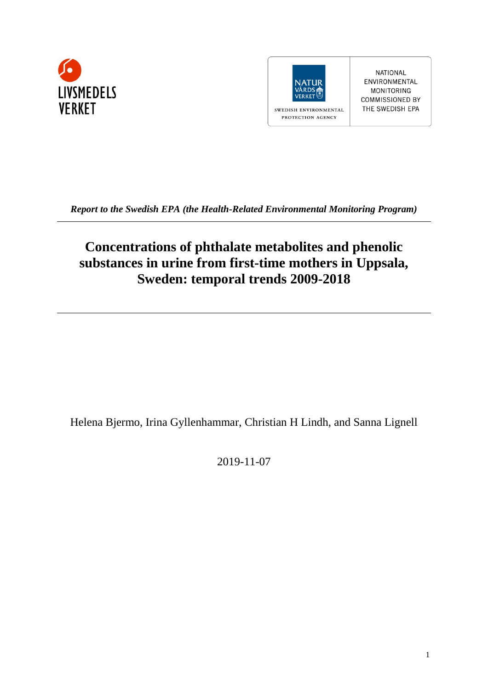



NATIONAL ENVIRONMENTAL MONITORING **COMMISSIONED BY** THE SWEDISH EPA

*Report to the Swedish EPA (the Health-Related Environmental Monitoring Program)*

# **Concentrations of phthalate metabolites and phenolic substances in urine from first-time mothers in Uppsala, Sweden: temporal trends 2009-2018**

Helena Bjermo, Irina Gyllenhammar, Christian H Lindh, and Sanna Lignell

2019-11-07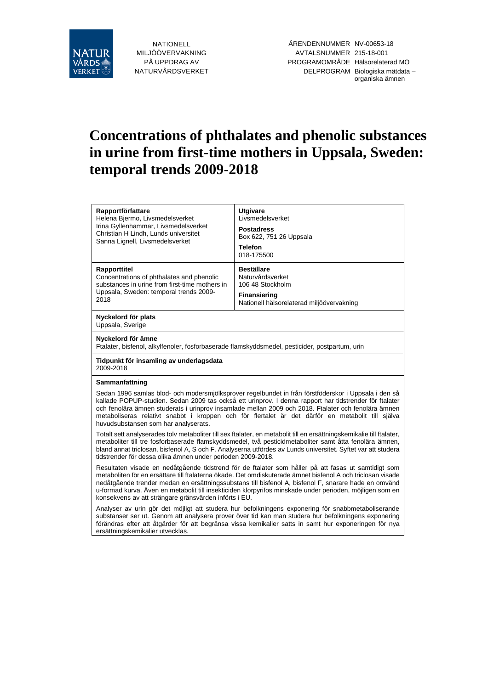

NATIONELL MILJÖÖVERVAKNING PÅ UPPDRAG AV NATURVÅRDSVERKET

# **Concentrations of phthalates and phenolic substances in urine from first-time mothers in Uppsala, Sweden: temporal trends 2009-2018**

| Rapportförfattare<br>Helena Bjermo, Livsmedelsverket<br>Irina Gyllenhammar, Livsmedelsverket<br>Christian H Lindh, Lunds universitet<br>Sanna Lignell, Livsmedelsverket | <b>Utgivare</b><br>Livsmedelsverket<br><b>Postadress</b><br>Box 622, 751 26 Uppsala<br><b>Telefon</b><br>018-175500                                                                                                                                                                                                                                                                                                       |  |  |  |
|-------------------------------------------------------------------------------------------------------------------------------------------------------------------------|---------------------------------------------------------------------------------------------------------------------------------------------------------------------------------------------------------------------------------------------------------------------------------------------------------------------------------------------------------------------------------------------------------------------------|--|--|--|
| Rapporttitel<br>Concentrations of phthalates and phenolic<br>substances in urine from first-time mothers in<br>Uppsala, Sweden: temporal trends 2009-<br>2018           | <b>Beställare</b><br>Naturvårdsverket<br>106 48 Stockholm<br><b>Finansiering</b><br>Nationell hälsorelaterad miljöövervakning                                                                                                                                                                                                                                                                                             |  |  |  |
| Nyckelord för plats<br>Uppsala, Sverige                                                                                                                                 |                                                                                                                                                                                                                                                                                                                                                                                                                           |  |  |  |
| Nyckelord för ämne<br>Ftalater, bisfenol, alkylfenoler, fosforbaserade flamskyddsmedel, pesticider, postpartum, urin                                                    |                                                                                                                                                                                                                                                                                                                                                                                                                           |  |  |  |
| Tidpunkt för insamling av underlagsdata<br>2009-2018                                                                                                                    |                                                                                                                                                                                                                                                                                                                                                                                                                           |  |  |  |
|                                                                                                                                                                         |                                                                                                                                                                                                                                                                                                                                                                                                                           |  |  |  |
| Sammanfattning                                                                                                                                                          |                                                                                                                                                                                                                                                                                                                                                                                                                           |  |  |  |
| huvudsubstansen som har analyserats.                                                                                                                                    | Sedan 1996 samlas blod- och modersmjölksprover regelbundet in från förstföderskor i Uppsala i den så<br>kallade POPUP-studien. Sedan 2009 tas också ett urinprov. I denna rapport har tidstrender för ftalater<br>och fenolära ämnen studerats i urinprov insamlade mellan 2009 och 2018. Ftalater och fenolära ämnen<br>metaboliseras relativt snabbt i kroppen och för flertalet är det därför en metabolit till själva |  |  |  |
| tidstrender för dessa olika ämnen under perioden 2009-2018.                                                                                                             | Totalt sett analyserades tolv metaboliter till sex ftalater, en metabolit till en ersättningskemikalie till ftalater,<br>metaboliter till tre fosforbaserade flamskyddsmedel, två pesticidmetaboliter samt åtta fenolära ämnen,<br>bland annat triclosan, bisfenol A, S och F. Analyserna utfördes av Lunds universitet. Syftet var att studera                                                                           |  |  |  |

Analyser av urin gör det möjligt att studera hur befolkningens exponering för snabbmetaboliserande substanser ser ut. Genom att analysera prover över tid kan man studera hur befolkningens exponering förändras efter att åtgärder för att begränsa vissa kemikalier satts in samt hur exponeringen för nya ersättningskemikalier utvecklas.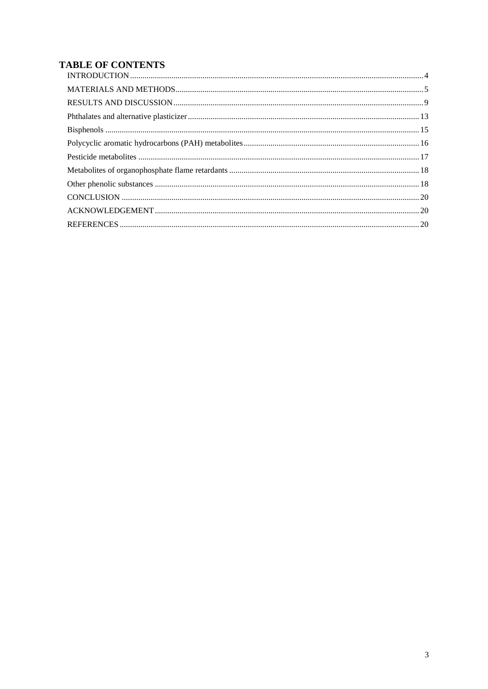## **TABLE OF CONTENTS**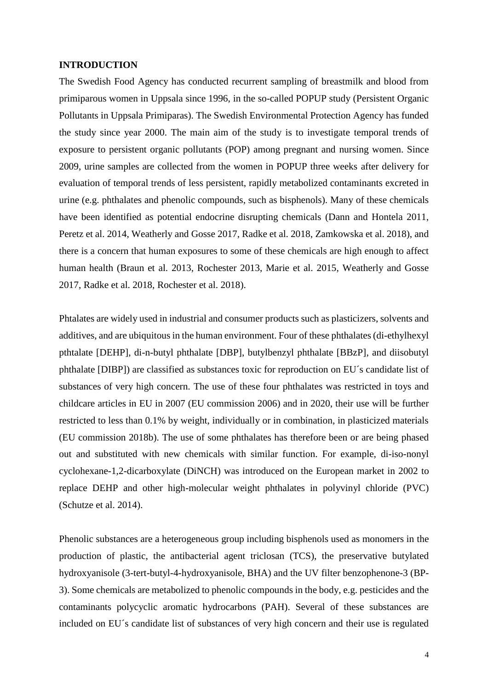#### <span id="page-3-0"></span>**INTRODUCTION**

The Swedish Food Agency has conducted recurrent sampling of breastmilk and blood from primiparous women in Uppsala since 1996, in the so-called POPUP study (Persistent Organic Pollutants in Uppsala Primiparas). The Swedish Environmental Protection Agency has funded the study since year 2000. The main aim of the study is to investigate temporal trends of exposure to persistent organic pollutants (POP) among pregnant and nursing women. Since 2009, urine samples are collected from the women in POPUP three weeks after delivery for evaluation of temporal trends of less persistent, rapidly metabolized contaminants excreted in urine (e.g. phthalates and phenolic compounds, such as bisphenols). Many of these chemicals have been identified as potential endocrine disrupting chemicals [\(Dann and Hontela 2011,](#page-20-0) [Peretz et al. 2014,](#page-22-0) [Weatherly and Gosse 2017,](#page-23-0) [Radke et al. 2018,](#page-22-1) [Zamkowska et al. 2018\)](#page-23-1), and there is a concern that human exposures to some of these chemicals are high enough to affect human health [\(Braun et al. 2013,](#page-19-3) [Rochester 2013,](#page-22-2) [Marie et al. 2015,](#page-21-0) [Weatherly and Gosse](#page-23-0)  [2017,](#page-23-0) [Radke et al. 2018,](#page-22-1) [Rochester et al. 2018\)](#page-22-3).

Phtalates are widely used in industrial and consumer products such as plasticizers, solvents and additives, and are ubiquitous in the human environment. Four of these phthalates (di-ethylhexyl pthtalate [DEHP], di-n-butyl phthalate [DBP], butylbenzyl phthalate [BBzP], and diisobutyl phthalate [DIBP]) are classified as substances toxic for reproduction on EU´s candidate list of substances of very high concern. The use of these four phthalates was restricted in toys and childcare articles in EU in 2007 [\(EU commission 2006\)](#page-20-1) and in 2020, their use will be further restricted to less than 0.1% by weight, individually or in combination, in plasticized materials [\(EU commission 2018b\)](#page-20-2). The use of some phthalates has therefore been or are being phased out and substituted with new chemicals with similar function. For example, di-iso-nonyl cyclohexane-1,2-dicarboxylate (DiNCH) was introduced on the European market in 2002 to replace DEHP and other high-molecular weight phthalates in polyvinyl chloride (PVC) [\(Schutze et al. 2014\)](#page-22-4).

Phenolic substances are a heterogeneous group including bisphenols used as monomers in the production of plastic, the antibacterial agent triclosan (TCS), the preservative butylated hydroxyanisole (3-tert-butyl-4-hydroxyanisole, BHA) and the UV filter benzophenone-3 (BP-3). Some chemicals are metabolized to phenolic compounds in the body, e.g. pesticides and the contaminants polycyclic aromatic hydrocarbons (PAH). Several of these substances are included on EU´s candidate list of substances of very high concern and their use is regulated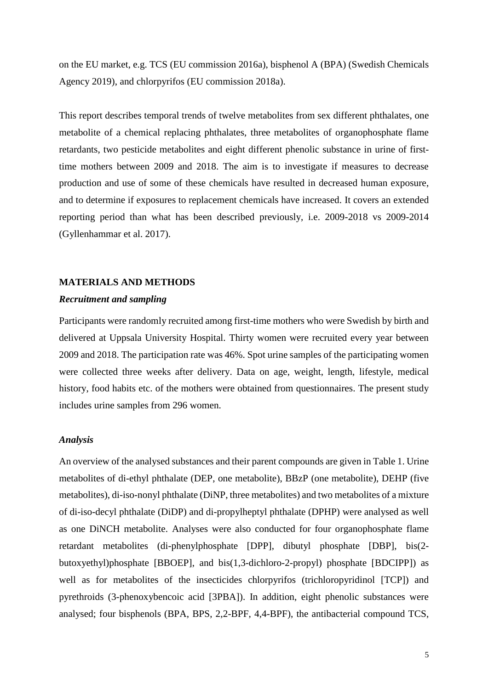on the EU market, e.g. TCS [\(EU commission 2016a\)](#page-20-3), bisphenol A (BPA) [\(Swedish Chemicals](#page-22-5)  [Agency 2019\)](#page-22-5), and chlorpyrifos [\(EU commission 2018a\)](#page-20-4).

This report describes temporal trends of twelve metabolites from sex different phthalates, one metabolite of a chemical replacing phthalates, three metabolites of organophosphate flame retardants, two pesticide metabolites and eight different phenolic substance in urine of firsttime mothers between 2009 and 2018. The aim is to investigate if measures to decrease production and use of some of these chemicals have resulted in decreased human exposure, and to determine if exposures to replacement chemicals have increased. It covers an extended reporting period than what has been described previously, i.e. 2009-2018 vs 2009-2014 [\(Gyllenhammar et al. 2017\)](#page-21-1).

#### <span id="page-4-0"></span>**MATERIALS AND METHODS**

#### *Recruitment and sampling*

Participants were randomly recruited among first-time mothers who were Swedish by birth and delivered at Uppsala University Hospital. Thirty women were recruited every year between 2009 and 2018. The participation rate was 46%. Spot urine samples of the participating women were collected three weeks after delivery. Data on age, weight, length, lifestyle, medical history, food habits etc. of the mothers were obtained from questionnaires. The present study includes urine samples from 296 women.

#### *Analysis*

An overview of the analysed substances and their parent compounds are given in [Table 1.](#page-6-0) Urine metabolites of di-ethyl phthalate (DEP, one metabolite), BBzP (one metabolite), DEHP (five metabolites), di-iso-nonyl phthalate (DiNP, three metabolites) and two metabolites of a mixture of di-iso-decyl phthalate (DiDP) and di-propylheptyl phthalate (DPHP) were analysed as well as one DiNCH metabolite. Analyses were also conducted for four organophosphate flame retardant metabolites (di-phenylphosphate [DPP], dibutyl phosphate [DBP], bis(2 butoxyethyl)phosphate [BBOEP], and bis(1,3-dichloro-2-propyl) phosphate [BDCIPP]) as well as for metabolites of the insecticides chlorpyrifos (trichloropyridinol [TCP]) and pyrethroids (3-phenoxybencoic acid [3PBA]). In addition, eight phenolic substances were analysed; four bisphenols (BPA, BPS, 2,2-BPF, 4,4-BPF), the antibacterial compound TCS,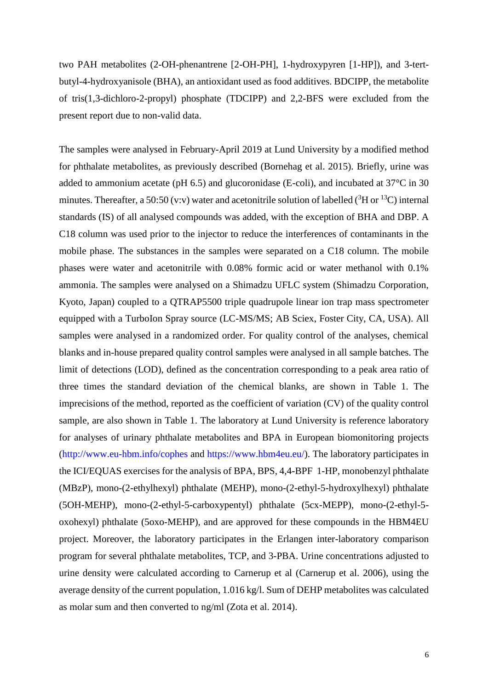two PAH metabolites (2-OH-phenantrene [2-OH-PH], 1-hydroxypyren [1-HP]), and 3-tertbutyl-4-hydroxyanisole (BHA), an antioxidant used as food additives. BDCIPP, the metabolite of tris(1,3-dichloro-2-propyl) phosphate (TDCIPP) and 2,2-BFS were excluded from the present report due to non-valid data.

The samples were analysed in February-April 2019 at Lund University by a modified method for phthalate metabolites, as previously described [\(Bornehag et al. 2015\)](#page-19-4). Briefly, urine was added to ammonium acetate (pH 6.5) and glucoronidase (E-coli), and incubated at 37°C in 30 minutes. Thereafter, a 50:50 (v:v) water and acetonitrile solution of labelled ( ${}^{3}$ H or  ${}^{13}$ C) internal standards (IS) of all analysed compounds was added, with the exception of BHA and DBP. A C18 column was used prior to the injector to reduce the interferences of contaminants in the mobile phase. The substances in the samples were separated on a C18 column. The mobile phases were water and acetonitrile with 0.08% formic acid or water methanol with 0.1% ammonia. The samples were analysed on a Shimadzu UFLC system (Shimadzu Corporation, Kyoto, Japan) coupled to a QTRAP5500 triple quadrupole linear ion trap mass spectrometer equipped with a TurboIon Spray source (LC-MS/MS; AB Sciex, Foster City, CA, USA). All samples were analysed in a randomized order. For quality control of the analyses, chemical blanks and in-house prepared quality control samples were analysed in all sample batches. The limit of detections (LOD), defined as the concentration corresponding to a peak area ratio of three times the standard deviation of the chemical blanks, are shown in [Table 1.](#page-6-0) The imprecisions of the method, reported as the coefficient of variation (CV) of the quality control sample, are also shown in [Table 1.](#page-6-0) The laboratory at Lund University is reference laboratory for analyses of urinary phthalate metabolites and BPA in European biomonitoring projects [\(http://www.eu-hbm.info/cophes](http://www.eu-hbm.info/cophes) and https://www.hbm4eu.eu/). The laboratory participates in the ICI/EQUAS exercises for the analysis of BPA, BPS, 4,4-BPF 1-HP, monobenzyl phthalate (MBzP), mono-(2-ethylhexyl) phthalate (MEHP), mono-(2-ethyl-5-hydroxylhexyl) phthalate (5OH-MEHP), mono-(2-ethyl-5-carboxypentyl) phthalate (5cx-MEPP), mono-(2-ethyl-5 oxohexyl) phthalate (5oxo-MEHP), and are approved for these compounds in the HBM4EU project. Moreover, the laboratory participates in the Erlangen inter-laboratory comparison program for several phthalate metabolites, TCP, and 3-PBA. Urine concentrations adjusted to urine density were calculated according to Carnerup et al [\(Carnerup et al. 2006\)](#page-19-5), using the average density of the current population, 1.016 kg/l. Sum of DEHP metabolites was calculated as molar sum and then converted to ng/ml [\(Zota et al. 2014\)](#page-23-2).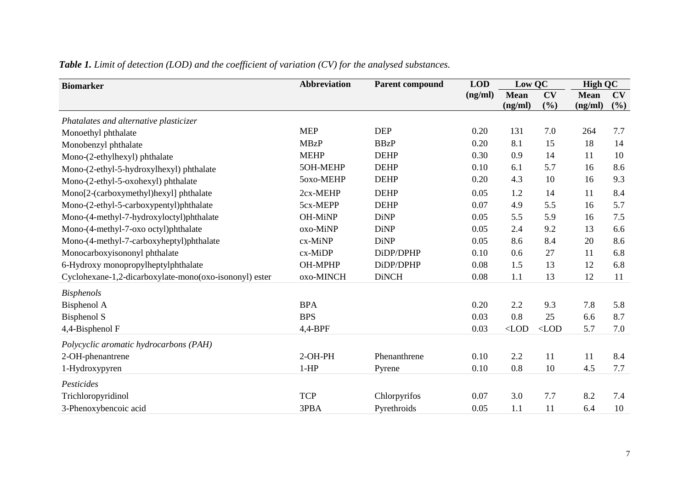<span id="page-6-0"></span>

| <b>Biomarker</b>                                       | <b>Abbreviation</b> | <b>Parent compound</b> |         | Low QC      |         | <b>High QC</b> |     |
|--------------------------------------------------------|---------------------|------------------------|---------|-------------|---------|----------------|-----|
|                                                        |                     |                        | (ng/ml) | <b>Mean</b> | CV      | <b>Mean</b>    | CV  |
|                                                        |                     |                        |         | (ng/ml)     | (%)     | (ng/ml)        | (%) |
| Phatalates and alternative plasticizer                 |                     |                        |         |             |         |                |     |
| Monoethyl phthalate                                    | <b>MEP</b>          | <b>DEP</b>             | 0.20    | 131         | 7.0     | 264            | 7.7 |
| Monobenzyl phthalate                                   | <b>MBzP</b>         | <b>BBzP</b>            | 0.20    | 8.1         | 15      | 18             | 14  |
| Mono-(2-ethylhexyl) phthalate                          | <b>MEHP</b>         | <b>DEHP</b>            | 0.30    | 0.9         | 14      | 11             | 10  |
| Mono-(2-ethyl-5-hydroxylhexyl) phthalate               | 5OH-MEHP            | <b>DEHP</b>            | 0.10    | 6.1         | 5.7     | 16             | 8.6 |
| Mono-(2-ethyl-5-oxohexyl) phthalate                    | 5oxo-MEHP           | <b>DEHP</b>            | 0.20    | 4.3         | 10      | 16             | 9.3 |
| Mono[2-(carboxymethyl)hexyl] phthalate                 | 2cx-MEHP            | <b>DEHP</b>            | 0.05    | 1.2         | 14      | 11             | 8.4 |
| Mono-(2-ethyl-5-carboxypentyl)phthalate                | 5cx-MEPP            | <b>DEHP</b>            | 0.07    | 4.9         | 5.5     | 16             | 5.7 |
| Mono-(4-methyl-7-hydroxyloctyl)phthalate               | OH-MiNP             | <b>DiNP</b>            | 0.05    | 5.5         | 5.9     | 16             | 7.5 |
| Mono-(4-methyl-7-oxo octyl)phthalate                   | oxo-MiNP            | <b>DiNP</b>            | 0.05    | 2.4         | 9.2     | 13             | 6.6 |
| Mono-(4-methyl-7-carboxyheptyl)phthalate               | cx-MiNP             | <b>DiNP</b>            | 0.05    | 8.6         | 8.4     | 20             | 8.6 |
| Monocarboxyisononyl phthalate                          | cx-MiDP             | DiDP/DPHP              | 0.10    | 0.6         | 27      | 11             | 6.8 |
| 6-Hydroxy monopropylheptylphthalate                    | <b>OH-MPHP</b>      | DiDP/DPHP              | 0.08    | 1.5         | 13      | 12             | 6.8 |
| Cyclohexane-1,2-dicarboxylate-mono(oxo-isononyl) ester | oxo-MINCH           | <b>DiNCH</b>           | 0.08    | 1.1         | 13      | 12             | 11  |
| <b>Bisphenols</b>                                      |                     |                        |         |             |         |                |     |
| Bisphenol A                                            | <b>BPA</b>          |                        | 0.20    | 2.2         | 9.3     | 7.8            | 5.8 |
| <b>Bisphenol S</b>                                     | <b>BPS</b>          |                        | 0.03    | 0.8         | 25      | 6.6            | 8.7 |
| 4,4-Bisphenol F                                        | $4,4-BPF$           |                        | 0.03    | $<$ LOD     | $<$ LOD | 5.7            | 7.0 |
| Polycyclic aromatic hydrocarbons (PAH)                 |                     |                        |         |             |         |                |     |
| 2-OH-phenantrene                                       | $2-OH-PH$           | Phenanthrene           | 0.10    | 2.2         | 11      | 11             | 8.4 |
| 1-Hydroxypyren                                         | $1-HP$              | Pyrene                 | 0.10    | 0.8         | 10      | 4.5            | 7.7 |
| Pesticides                                             |                     |                        |         |             |         |                |     |
| Trichloropyridinol                                     | <b>TCP</b>          | Chlorpyrifos           | 0.07    | 3.0         | 7.7     | 8.2            | 7.4 |
| 3-Phenoxybencoic acid                                  | 3PBA                | Pyrethroids            | 0.05    | 1.1         | 11      | 6.4            | 10  |

*Table 1. Limit of detection (LOD) and the coefficient of variation (CV) for the analysed substances.*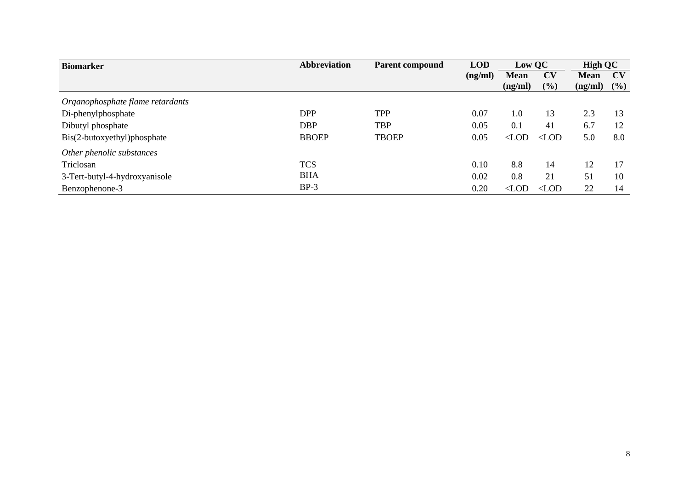| <b>Biomarker</b>                 | <b>Abbreviation</b> | <b>Parent compound</b> | <b>LOD</b> | Low QC        |               | <b>High QC</b> |     |
|----------------------------------|---------------------|------------------------|------------|---------------|---------------|----------------|-----|
|                                  |                     |                        | (ng/ml)    | <b>Mean</b>   | <b>CV</b>     | <b>Mean</b>    | CV  |
|                                  |                     |                        |            | (ng/ml)       | $(\%)$        | (ng/ml)        | (%) |
| Organophosphate flame retardants |                     |                        |            |               |               |                |     |
| Di-phenylphosphate               | <b>DPP</b>          | <b>TPP</b>             | 0.07       | 1.0           | 13            | 2.3            | 13  |
| Dibutyl phosphate                | <b>DBP</b>          | <b>TBP</b>             | 0.05       | 0.1           | 41            | 6.7            | 12  |
| Bis(2-butoxyethyl)phosphate      | <b>BBOEP</b>        | <b>TBOEP</b>           | 0.05       | $\langle$ LOD | $\langle$ LOD | 5.0            | 8.0 |
| Other phenolic substances        |                     |                        |            |               |               |                |     |
| Triclosan                        | <b>TCS</b>          |                        | 0.10       | 8.8           | 14            | 12             | 17  |
| 3-Tert-butyl-4-hydroxyanisole    | <b>BHA</b>          |                        | 0.02       | 0.8           | 21            | 51             | 10  |
| Benzophenone-3                   | $BP-3$              |                        | 0.20       | $\langle$ LOD | $\langle$ LOD | 22             | 14  |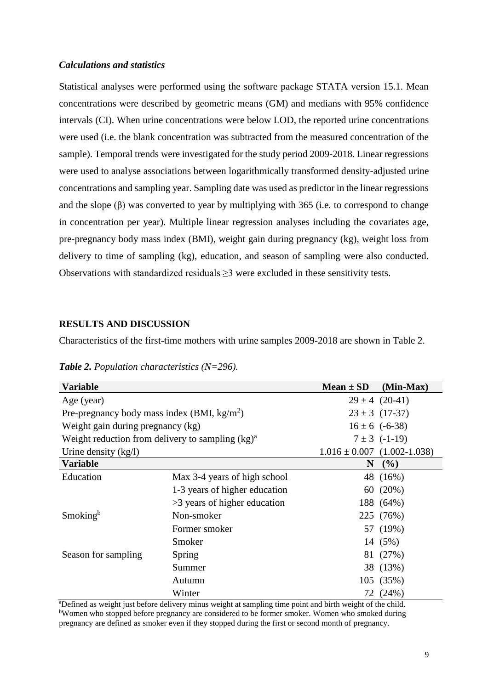#### *Calculations and statistics*

Statistical analyses were performed using the software package STATA version 15.1. Mean concentrations were described by geometric means (GM) and medians with 95% confidence intervals (CI). When urine concentrations were below LOD, the reported urine concentrations were used (i.e. the blank concentration was subtracted from the measured concentration of the sample). Temporal trends were investigated for the study period 2009-2018. Linear regressions were used to analyse associations between logarithmically transformed density-adjusted urine concentrations and sampling year. Sampling date was used as predictor in the linear regressions and the slope (β) was converted to year by multiplying with 365 (i.e. to correspond to change in concentration per year). Multiple linear regression analyses including the covariates age, pre-pregnancy body mass index (BMI), weight gain during pregnancy (kg), weight loss from delivery to time of sampling (kg), education, and season of sampling were also conducted. Observations with standardized residuals  $\geq$ 3 were excluded in these sensitivity tests.

#### <span id="page-8-0"></span>**RESULTS AND DISCUSSION**

Characteristics of the first-time mothers with urine samples 2009-2018 are shown in [Table 2.](#page-8-1)

<span id="page-8-1"></span>*Table 2. Population characteristics (N=296).*

| <b>Variable</b>                                     |                               | $Mean \pm SD$ | $(Min-Max)$                     |
|-----------------------------------------------------|-------------------------------|---------------|---------------------------------|
| Age (year)                                          |                               |               | $29 \pm 4$ (20-41)              |
| Pre-pregnancy body mass index (BMI, $kg/m2$ )       |                               |               | $23 \pm 3$ (17-37)              |
| Weight gain during pregnancy (kg)                   |                               |               | $16 \pm 6$ (-6-38)              |
| Weight reduction from delivery to sampling $(kg)^a$ |                               |               | $7 \pm 3$ (-1-19)               |
| Urine density $(kg/l)$                              |                               |               | $1.016 \pm 0.007$ (1.002-1.038) |
| <b>Variable</b>                                     |                               | N             | $($ %)                          |
| Education                                           | Max 3-4 years of high school  |               | 48 (16%)                        |
|                                                     | 1-3 years of higher education |               | 60 (20%)                        |
|                                                     | >3 years of higher education  |               | 188 (64%)                       |
| Smoking <sup>b</sup>                                | Non-smoker                    |               | 225 (76%)                       |
|                                                     | Former smoker                 |               | 57 (19%)                        |
|                                                     | Smoker                        |               | 14 (5%)                         |
| Season for sampling<br>Spring                       |                               |               | 81 (27%)                        |
|                                                     | Summer                        |               | 38 (13%)                        |
|                                                     | Autumn                        |               | 105 (35%)                       |
|                                                     | Winter                        |               | 72 (24%)                        |

<sup>a</sup>Defined as weight just before delivery minus weight at sampling time point and birth weight of the child. <sup>b</sup>Women who stopped before pregnancy are considered to be former smoker. Women who smoked during pregnancy are defined as smoker even if they stopped during the first or second month of pregnancy.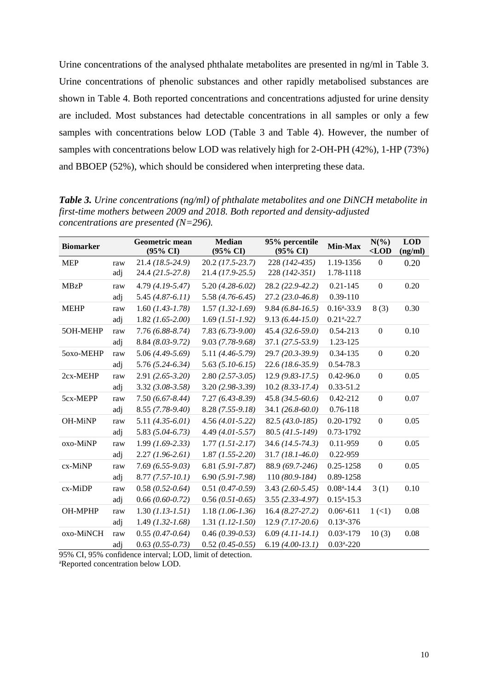Urine concentrations of the analysed phthalate metabolites are presented in ng/ml in [Table 3.](#page-9-0) Urine concentrations of phenolic substances and other rapidly metabolised substances are shown in [Table 4.](#page-10-0) Both reported concentrations and concentrations adjusted for urine density are included. Most substances had detectable concentrations in all samples or only a few samples with concentrations below LOD [\(Table 3](#page-9-0) and [Table 4\)](#page-10-0). However, the number of samples with concentrations below LOD was relatively high for 2-OH-PH (42%), 1-HP (73%) and BBOEP (52%), which should be considered when interpreting these data.

| <b>Biomarker</b> |     | Geometric mean<br>$(95\% \text{ CI})$ | <b>Median</b><br>$(95\% \text{ CI})$ | 95% percentile<br>$(95\% \text{ CI})$ | Min-Max                    | $N(\%)$<br>$<$ LOD   | <b>LOD</b><br>(ng/ml) |
|------------------|-----|---------------------------------------|--------------------------------------|---------------------------------------|----------------------------|----------------------|-----------------------|
| <b>MEP</b>       | raw | $21.4(18.5-24.9)$                     | $20.2$ (17.5-23.7)                   | 228 (142-435)                         | 1.19-1356                  | $\Omega$             | 0.20                  |
|                  | adj | 24.4 (21.5-27.8)                      | 21.4 (17.9-25.5)                     | 228 (142-351)                         | 1.78-1118                  |                      |                       |
| <b>MBzP</b>      | raw | $4.79(4.19-5.47)$                     | $5.20(4.28-6.02)$                    | 28.2 (22.9-42.2)                      | $0.21 - 145$               | $\mathbf{0}$         | 0.20                  |
|                  | adj | $5.45(4.87-6.11)$                     | $5.58(4.76-6.45)$                    | $27.2(23.0-46.8)$                     | 0.39-110                   |                      |                       |
| <b>MEHP</b>      | raw | $1.60$ (1.43-1.78)                    | $1.57$ $(1.32 - 1.69)$               | $9.84(6.84-16.5)$                     | $0.16^{\mathrm{a}} - 33.9$ | 8(3)                 | 0.30                  |
|                  | adj | $1.82$ (1.65-2.00)                    | $1.69$ (1.51-1.92)                   | $9.13(6.44 - 15.0)$                   | $0.21$ <sup>a</sup> -22.7  |                      |                       |
| 5OH-MEHP         | raw | $7.76(6.88-8.74)$                     | $7.83(6.73-9.00)$                    | $45.4(32.6-59.0)$                     | 0.54-213                   | $\mathbf{0}$         | 0.10                  |
|                  | adj | $8.84 (8.03 - 9.72)$                  | $9.03(7.78-9.68)$                    | $37.1(27.5-53.9)$                     | 1.23-125                   |                      |                       |
| 5oxo-MEHP        | raw | $5.06(4.49-5.69)$                     | 5.11 (4.46-5.79)                     | 29.7 (20.3-39.9)                      | 0.34-135                   | $\mathbf{0}$         | 0.20                  |
|                  | adj | $5.76(5.24-6.34)$                     | $5.63(5.10-6.15)$                    | $22.6(18.6-35.9)$                     | 0.54-78.3                  |                      |                       |
| 2cx-MEHP         | raw | $2.91(2.65 - 3.20)$                   | $2.80(2.57-3.05)$                    | $12.9(9.83-17.5)$                     | $0.42 - 96.0$              | $\boldsymbol{0}$     | 0.05                  |
|                  | adj | $3.32$ (3.08-3.58)                    | $3.20(2.98-3.39)$                    | $10.2 (8.33 - 17.4)$                  | $0.33 - 51.2$              |                      |                       |
| 5cx-MEPP         | raw | $7.50(6.67 - 8.44)$                   | $7.27(6.43 - 8.39)$                  | $45.8(34.5-60.6)$                     | 0.42-212                   | $\boldsymbol{0}$     | 0.07                  |
|                  | adj | 8.55 (7.78-9.40)                      | $8.28(7.55-9.18)$                    | 34.1 $(26.8 - 60.0)$                  | 0.76-118                   |                      |                       |
| <b>OH-MiNP</b>   | raw | $5.11 (4.35 - 6.01)$                  | $4.56(4.01-5.22)$                    | $82.5(43.0-185)$                      | 0.20-1792                  | $\boldsymbol{0}$     | 0.05                  |
|                  | adj | $5.83(5.04-6.73)$                     | $4.49$ (4.01-5.57)                   | 80.5 (41.5-149)                       | 0.73-1792                  |                      |                       |
| oxo-MiNP         | raw | $1.99$ (1.69-2.33)                    | $1.77(1.51 - 2.17)$                  | 34.6 (14.5-74.3)                      | 0.11-959                   | $\boldsymbol{0}$     | 0.05                  |
|                  | adj | $2.27(1.96-2.61)$                     | $1.87$ $(1.55 - 2.20)$               | $31.7(18.1-46.0)$                     | 0.22-959                   |                      |                       |
| $cx$ -MiNP       | raw | $7.69(6.55-9.03)$                     | $6.81(5.91 - 7.87)$                  | 88.9 (69.7-246)                       | 0.25-1258                  | $\mathbf{0}$         | 0.05                  |
|                  | adj | $8.77(7.57-10.1)$                     | $6.90(5.91 - 7.98)$                  | $110(80.9-184)$                       | 0.89-1258                  |                      |                       |
| $cx$ -MiDP       | raw | $0.58(0.52-0.64)$                     | $0.51(0.47-0.59)$                    | $3.43(2.60-5.45)$                     | $0.08a - 14.4$             | 3(1)                 | 0.10                  |
|                  | adj | $0.66(0.60-0.72)$                     | $0.56(0.51-0.65)$                    | $3.55(2.33-4.97)$                     | $0.15a - 15.3$             |                      |                       |
| OH-MPHP          | raw | $1.30 (1.13 - 1.51)$                  | $1.18(1.06-1.36)$                    | $16.4(8.27-27.2)$                     | $0.06^a - 611$             | $1 \left( 1 \right)$ | 0.08                  |
|                  | adj | $1.49$ (1.32-1.68)                    | $1.31 (1.12 - 1.50)$                 | $12.9(7.17-20.6)$                     | $0.13^{\mathrm{a}} - 376$  |                      |                       |
| oxo-MiNCH        | raw | $0.55(0.47-0.64)$                     | $0.46(0.39 - 0.53)$                  | $6.09(4.11-14.1)$                     | $0.03a - 179$              | 10(3)                | 0.08                  |
|                  | adj | $0.63$ (0.55-0.73)                    | $0.52(0.45-0.55)$                    | $6.19(4.00-13.1)$                     | $0.03a - 220$              |                      |                       |

<span id="page-9-0"></span>*Table 3. Urine concentrations (ng/ml) of phthalate metabolites and one DiNCH metabolite in first-time mothers between 2009 and 2018. Both reported and density-adjusted concentrations are presented (N=296).*

95% CI, 95% confidence interval; LOD, limit of detection. aReported concentration below LOD.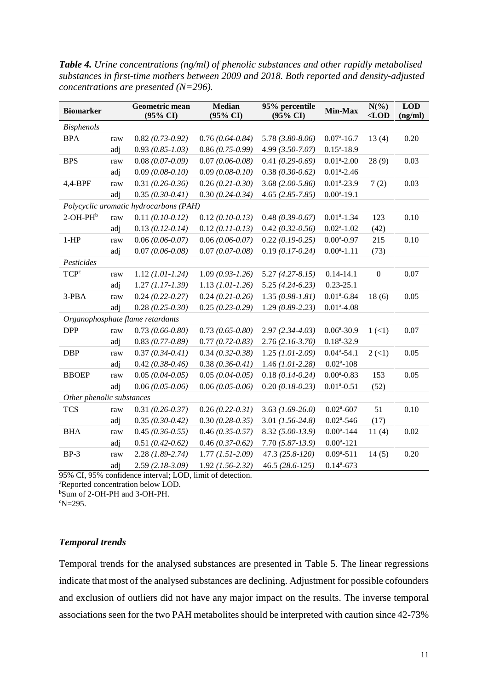<span id="page-10-0"></span>*Table 4. Urine concentrations (ng/ml) of phenolic substances and other rapidly metabolised substances in first-time mothers between 2009 and 2018. Both reported and density-adjusted concentrations are presented (N=296).*

| <b>Biomarker</b>          |     | Geometric mean<br>(95% CI)             | <b>Median</b><br>(95% CI) | 95% percentile<br>$(95\% \text{ CI})$ | Min-Max                    | $N(\%)$<br>$<$ LOD | <b>LOD</b><br>(ng/ml) |
|---------------------------|-----|----------------------------------------|---------------------------|---------------------------------------|----------------------------|--------------------|-----------------------|
| <b>Bisphenols</b>         |     |                                        |                           |                                       |                            |                    |                       |
| <b>BPA</b>                | raw | $0.82(0.73-0.92)$                      | $0.76(0.64 - 0.84)$       | $5.78$ $(3.80 - 8.06)$                | $0.07^{\mathrm{a}} - 16.7$ | 13(4)              | 0.20                  |
|                           | adj | $0.93(0.85-1.03)$                      | $0.86(0.75-0.99)$         | $4.99$ $(3.50 - 7.07)$                | $0.15^{a} - 18.9$          |                    |                       |
| <b>BPS</b>                | raw | $0.08(0.07-0.09)$                      | $0.07(0.06-0.08)$         | $0.41(0.29-0.69)$                     | $0.01a - 2.00$             | 28(9)              | 0.03                  |
|                           | adj | $0.09(0.08-0.10)$                      | $0.09(0.08-0.10)$         | $0.38(0.30 - 0.62)$                   | $0.01^{\text{a}} - 2.46$   |                    |                       |
| 4,4-BPF                   | raw | $0.31(0.26 - 0.36)$                    | $0.26(0.21-0.30)$         | $3.68(2.00-5.86)$                     | $0.01a - 23.9$             | 7(2)               | 0.03                  |
|                           | adj | $0.35(0.30-0.41)$                      | $0.30(0.24 - 0.34)$       | $4.65(2.85 - 7.85)$                   | $0.00a - 19.1$             |                    |                       |
|                           |     | Polycyclic aromatic hydrocarbons (PAH) |                           |                                       |                            |                    |                       |
| $2$ -OH-PH $b$            | raw | $0.11(0.10-0.12)$                      | $0.12(0.10-0.13)$         | $0.48(0.39 - 0.67)$                   | $0.01a-1.34$               | 123                | 0.10                  |
|                           | adj | $0.13(0.12-0.14)$                      | $0.12(0.11 - 0.13)$       | $0.42(0.32-0.56)$                     | $0.02^{\mathrm{a}} - 1.02$ | (42)               |                       |
| $1-HP$                    | raw | $0.06(0.06-0.07)$                      | $0.06(0.06-0.07)$         | $0.22(0.19-0.25)$                     | $0.00^{\text{a}} - 0.97$   | 215                | 0.10                  |
|                           | adj | $0.07(0.06 - 0.08)$                    | $0.07(0.07-0.08)$         | $0.19(0.17-0.24)$                     | $0.00a - 1.11$             | (73)               |                       |
| Pesticides                |     |                                        |                           |                                       |                            |                    |                       |
| TCP <sup>c</sup>          | raw | $1.12$ (1.01-1.24)                     | $1.09(0.93-1.26)$         | $5.27(4.27 - 8.15)$                   | $0.14 - 14.1$              | $\boldsymbol{0}$   | 0.07                  |
|                           | adj | $1.27 (1.17 - 1.39)$                   | $1.13$ (1.01-1.26)        | $5.25(4.24-6.23)$                     | $0.23 - 25.1$              |                    |                       |
| 3-PBA                     | raw | $0.24(0.22-0.27)$                      | $0.24(0.21-0.26)$         | $1.35(0.98-1.81)$                     | $0.01^{\text{a}} - 6.84$   | 18(6)              | 0.05                  |
|                           | adj | $0.28$ (0.25-0.30)                     | $0.25(0.23-0.29)$         | $1.29(0.89-2.23)$                     | $0.01^{\text{a}} - 4.08$   |                    |                       |
|                           |     | Organophosphate flame retardants       |                           |                                       |                            |                    |                       |
| <b>DPP</b>                | raw | $0.73(0.66 - 0.80)$                    | $0.73(0.65-0.80)$         | $2.97(2.34 - 4.03)$                   | $0.06^{\mathrm{a}} - 30.9$ | 1(1)               | 0.07                  |
|                           | adj | $0.83(0.77-0.89)$                      | $0.77(0.72-0.83)$         | $2.76(2.16-3.70)$                     | $0.18a - 32.9$             |                    |                       |
| <b>DBP</b>                | raw | $0.37(0.34 - 0.41)$                    | $0.34(0.32-0.38)$         | $1.25$ (1.01-2.09)                    | $0.04a-54.1$               | 2(1)               | 0.05                  |
|                           | adj | $0.42$ (0.38-0.46)                     | $0.38(0.36 - 0.41)$       | $1.46$ (1.01-2.28)                    | $0.02^{\mathrm{a}} - 108$  |                    |                       |
| <b>BBOEP</b>              | raw | $0.05(0.04-0.05)$                      | $0.05(0.04-0.05)$         | $0.18(0.14 - 0.24)$                   | $0.00^{\text{a}} - 0.83$   | 153                | 0.05                  |
|                           | adj | $0.06(0.05-0.06)$                      | $0.06(0.05-0.06)$         | $0.20$ (0.18-0.23)                    | $0.01a-0.51$               | (52)               |                       |
| Other phenolic substances |     |                                        |                           |                                       |                            |                    |                       |
| <b>TCS</b>                | raw | $0.31(0.26 - 0.37)$                    | $0.26(0.22-0.31)$         | $3.63$ (1.69-26.0)                    | $0.02^{\mathrm{a}}$ -607   | 51                 | 0.10                  |
|                           | adj | $0.35(0.30-0.42)$                      | $0.30(0.28-0.35)$         | $3.01$ (1.56-24.8)                    | $0.02^{\mathrm{a}} - 546$  | (17)               |                       |
| <b>BHA</b>                | raw | $0.45(0.36-0.55)$                      | $0.46$ (0.35-0.57)        | $8.32(5.00-13.9)$                     | $0.00^a - 144$             | 11(4)              | 0.02                  |
|                           | adj | $0.51(0.42-0.62)$                      | $0.46(0.37-0.62)$         | $7.70(5.87-13.9)$                     | $0.00a - 121$              |                    |                       |
| $BP-3$                    | raw | $2.28$ (1.89-2.74)                     | $1.77(1.51-2.09)$         | 47.3 (25.8-120)                       | $0.09^a - 511$             | 14(5)              | 0.20                  |
|                           | adj | $2.59(2.18-3.09)$                      | $1.92$ (1.56-2.32)        | 46.5 (28.6-125)                       | $0.14^a - 673$             |                    |                       |

95% CI, 95% confidence interval; LOD, limit of detection. <sup>a</sup>Reported concentration below LOD.

<sup>b</sup>Sum of 2-OH-PH and 3-OH-PH.

 $\text{eN} = 295.$ 

### *Temporal trends*

Temporal trends for the analysed substances are presented in [Table 5.](#page-11-0) The linear regressions indicate that most of the analysed substances are declining. Adjustment for possible cofounders and exclusion of outliers did not have any major impact on the results. The inverse temporal associations seen for the two PAH metabolites should be interpreted with caution since 42-73%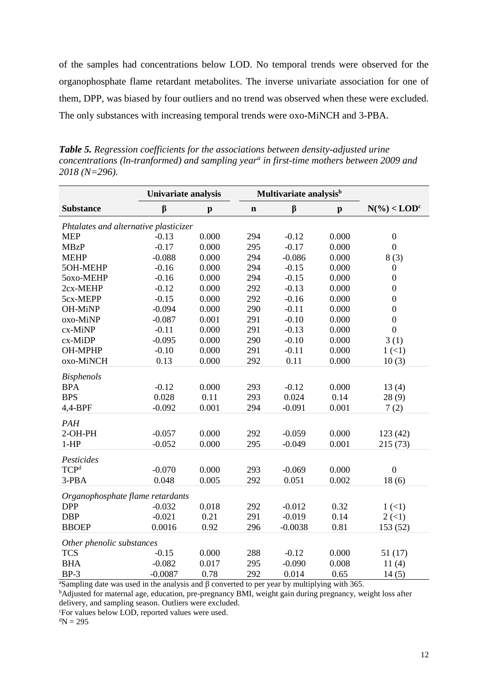of the samples had concentrations below LOD. No temporal trends were observed for the organophosphate flame retardant metabolites. The inverse univariate association for one of them, DPP, was biased by four outliers and no trend was observed when these were excluded. The only substances with increasing temporal trends were oxo-MiNCH and 3-PBA.

<span id="page-11-0"></span>*Table 5. Regression coefficients for the associations between density-adjusted urine concentrations (ln-tranformed) and sampling year<sup>a</sup> in first-time mothers between 2009 and 2018 (N=296).*

|                                       | <b>Univariate analysis</b> |              | Multivariate analysis <sup>b</sup> |           |              |                  |
|---------------------------------------|----------------------------|--------------|------------------------------------|-----------|--------------|------------------|
| <b>Substance</b>                      | β                          | $\mathbf{p}$ | $\mathbf n$                        | $\beta$   | $\mathbf{p}$ | $N(\%)$          |
| Phtalates and alternative plasticizer |                            |              |                                    |           |              |                  |
| <b>MEP</b>                            | $-0.13$                    | 0.000        | 294                                | $-0.12$   | 0.000        | $\boldsymbol{0}$ |
| <b>MBzP</b>                           | $-0.17$                    | 0.000        | 295                                | $-0.17$   | 0.000        | $\overline{0}$   |
| <b>MEHP</b>                           | $-0.088$                   | 0.000        | 294                                | $-0.086$  | 0.000        | 8(3)             |
| 5OH-MEHP                              | $-0.16$                    | 0.000        | 294                                | $-0.15$   | 0.000        | $\boldsymbol{0}$ |
| 5oxo-MEHP                             | $-0.16$                    | 0.000        | 294                                | $-0.15$   | 0.000        | $\boldsymbol{0}$ |
| 2cx-MEHP                              | $-0.12$                    | 0.000        | 292                                | $-0.13$   | 0.000        | $\boldsymbol{0}$ |
| 5cx-MEPP                              | $-0.15$                    | 0.000        | 292                                | $-0.16$   | 0.000        | $\boldsymbol{0}$ |
| OH-MiNP                               | $-0.094$                   | 0.000        | 290                                | $-0.11$   | 0.000        | $\boldsymbol{0}$ |
| oxo-MiNP                              | $-0.087$                   | 0.001        | 291                                | $-0.10$   | 0.000        | $\boldsymbol{0}$ |
| cx-MiNP                               | $-0.11$                    | 0.000        | 291                                | $-0.13$   | 0.000        | $\boldsymbol{0}$ |
| cx-MiDP                               | $-0.095$                   | 0.000        | 290                                | $-0.10$   | 0.000        | 3(1)             |
| OH-MPHP                               | $-0.10$                    | 0.000        | 291                                | $-0.11$   | 0.000        | 1(1)             |
| oxo-MiNCH                             | 0.13                       | 0.000        | 292                                | 0.11      | 0.000        | 10(3)            |
| <b>Bisphenols</b>                     |                            |              |                                    |           |              |                  |
| <b>BPA</b>                            | $-0.12$                    | 0.000        | 293                                | $-0.12$   | 0.000        | 13(4)            |
| <b>BPS</b>                            | 0.028                      | 0.11         | 293                                | 0.024     | 0.14         | 28(9)            |
| 4,4-BPF                               | $-0.092$                   | 0.001        | 294                                | $-0.091$  | 0.001        | 7(2)             |
| PAH                                   |                            |              |                                    |           |              |                  |
| 2-OH-PH                               | $-0.057$                   | 0.000        | 292                                | $-0.059$  | 0.000        | 123(42)          |
| $1-HP$                                | $-0.052$                   | 0.000        | 295                                | $-0.049$  | 0.001        | 215(73)          |
| Pesticides                            |                            |              |                                    |           |              |                  |
| <b>TCP</b> <sup>d</sup>               | $-0.070$                   | 0.000        | 293                                | $-0.069$  | 0.000        | $\boldsymbol{0}$ |
| 3-PBA                                 | 0.048                      | 0.005        | 292                                | 0.051     | 0.002        | 18(6)            |
|                                       |                            |              |                                    |           |              |                  |
| Organophosphate flame retardants      |                            |              |                                    |           |              |                  |
| <b>DPP</b>                            | $-0.032$                   | 0.018        | 292                                | $-0.012$  | 0.32         | 1(1)             |
| <b>DBP</b>                            | $-0.021$                   | 0.21         | 291                                | $-0.019$  | 0.14         | 2(1)             |
| <b>BBOEP</b>                          | 0.0016                     | 0.92         | 296                                | $-0.0038$ | 0.81         | 153 (52)         |
| Other phenolic substances             |                            |              |                                    |           |              |                  |
| <b>TCS</b>                            | $-0.15$                    | 0.000        | 288                                | $-0.12$   | 0.000        | 51(17)           |
| <b>BHA</b>                            | $-0.082$                   | 0.017        | 295                                | $-0.090$  | 0.008        | 11(4)            |
| $BP-3$                                | $-0.0087$                  | 0.78         | 292                                | 0.014     | 0.65         | 14(5)            |

<sup>a</sup>Sampling date was used in the analysis and β converted to per year by multiplying with 365.

<sup>b</sup>Adjusted for maternal age, education, pre-pregnancy BMI, weight gain during pregnancy, weight loss after delivery, and sampling season. Outliers were excluded.

<sup>c</sup>For values below LOD, reported values were used.

 $\mathrm{d}N = 295$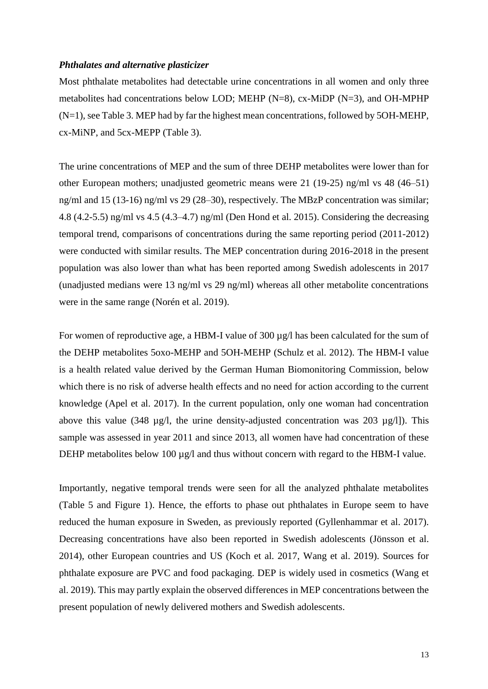#### <span id="page-12-0"></span>*Phthalates and alternative plasticizer*

Most phthalate metabolites had detectable urine concentrations in all women and only three metabolites had concentrations below LOD; MEHP (N=8), cx-MiDP (N=3), and OH-MPHP (N=1), se[e Table 3.](#page-9-0) MEP had by far the highest mean concentrations, followed by 5OH-MEHP, cx-MiNP, and 5cx-MEPP [\(Table 3\)](#page-9-0).

The urine concentrations of MEP and the sum of three DEHP metabolites were lower than for other European mothers; unadjusted geometric means were 21 (19-25) ng/ml vs 48 (46–51) ng/ml and 15 (13-16) ng/ml vs 29 (28–30), respectively. The MBzP concentration was similar; 4.8 (4.2-5.5) ng/ml vs 4.5 (4.3–4.7) ng/ml [\(Den Hond et al. 2015\)](#page-20-5). Considering the decreasing temporal trend, comparisons of concentrations during the same reporting period (2011-2012) were conducted with similar results. The MEP concentration during 2016-2018 in the present population was also lower than what has been reported among Swedish adolescents in 2017 (unadjusted medians were 13 ng/ml vs 29 ng/ml) whereas all other metabolite concentrations were in the same range [\(Norén et al. 2019\)](#page-22-6).

For women of reproductive age, a HBM-I value of 300 µg/l has been calculated for the sum of the DEHP metabolites 5oxo-MEHP and 5OH-MEHP [\(Schulz et al. 2012\)](#page-22-7). The HBM-I value is a health related value derived by the German Human Biomonitoring Commission, below which there is no risk of adverse health effects and no need for action according to the current knowledge [\(Apel et al. 2017\)](#page-19-6). In the current population, only one woman had concentration above this value (348  $\mu$ g/l, the urine density-adjusted concentration was 203  $\mu$ g/l]). This sample was assessed in year 2011 and since 2013, all women have had concentration of these DEHP metabolites below 100 µg/l and thus without concern with regard to the HBM-I value.

Importantly, negative temporal trends were seen for all the analyzed phthalate metabolites [\(Table 5](#page-11-0) and [Figure 1\)](#page-13-0). Hence, the efforts to phase out phthalates in Europe seem to have reduced the human exposure in Sweden, as previously reported [\(Gyllenhammar et al. 2017\)](#page-21-1). Decreasing concentrations have also been reported in Swedish adolescents [\(Jönsson et al.](#page-21-2)  [2014\)](#page-21-2), other European countries and US [\(Koch et al. 2017,](#page-21-3) [Wang et al. 2019\)](#page-23-3). Sources for phthalate exposure are PVC and food packaging. DEP is widely used in cosmetics [\(Wang et](#page-23-3)  [al. 2019\)](#page-23-3). This may partly explain the observed differences in MEP concentrations between the present population of newly delivered mothers and Swedish adolescents.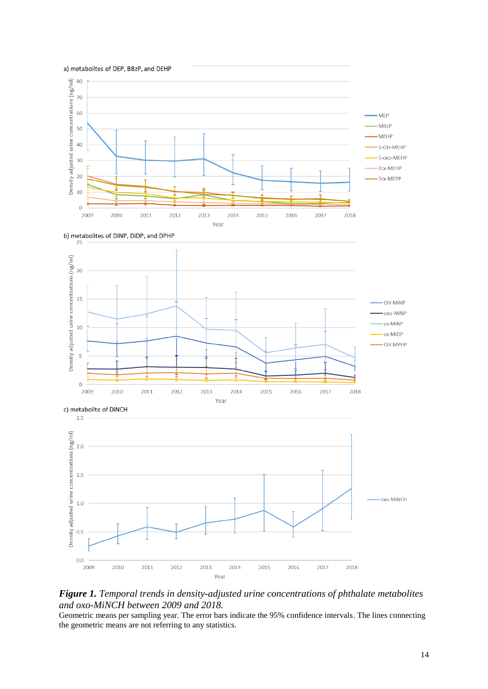



b) metabolites of DiNP, DiDP, and DPHP







### <span id="page-13-0"></span>*Figure 1. Temporal trends in density-adjusted urine concentrations of phthalate metabolites and oxo-MiNCH between 2009 and 2018.*

Geometric means per sampling year. The error bars indicate the 95% confidence intervals. The lines connecting the geometric means are not referring to any statistics.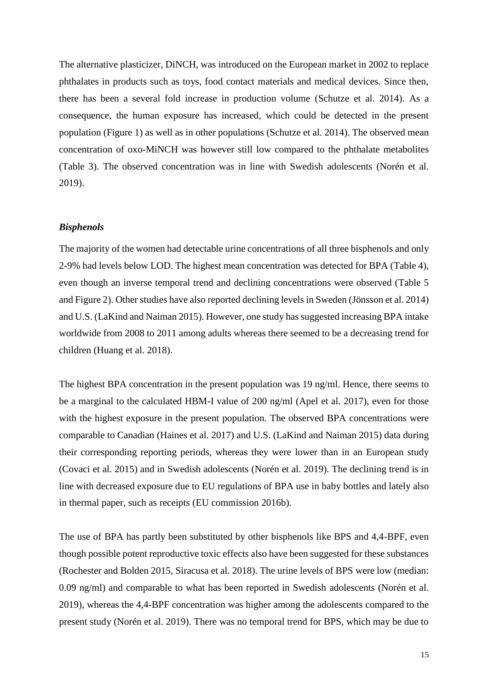The alternative plasticizer, DiNCH, was introduced on the European market in 2002 to replace phthalates in products such as toys, food contact materials and medical devices. Since then, there has been a several fold increase in production volume [\(Schutze et al. 2014\)](#page-22-4). As a consequence, the human exposure has increased, which could be detected in the present population [\(Figure 1\)](#page-13-0) as well as in other populations [\(Schutze et al. 2014\)](#page-22-4). The observed mean concentration of oxo-MiNCH was however still low compared to the phthalate metabolites [\(Table 3\)](#page-9-0). The observed concentration was in line with Swedish adolescents [\(Norén et al.](#page-22-6)  [2019\)](#page-22-6).

#### <span id="page-14-0"></span>*Bisphenols*

The majority of the women had detectable urine concentrations of all three bisphenols and only 2-9% had levels below LOD. The highest mean concentration was detected for BPA [\(Table 4\)](#page-10-0), even though an inverse temporal trend and declining concentrations were observed [\(Table 5](#page-11-0) and [Figure 2\)](#page-15-1). Other studies have also reported declining levels in Sweden [\(Jönsson et al. 2014\)](#page-21-2) and U.S. [\(LaKind and Naiman 2015\)](#page-21-4). However, one study has suggested increasing BPA intake worldwide from 2008 to 2011 among adults whereas there seemed to be a decreasing trend for children [\(Huang et al. 2018\)](#page-21-5).

The highest BPA concentration in the present population was 19 ng/ml. Hence, there seems to be a marginal to the calculated HBM-I value of 200 ng/ml [\(Apel et al.](#page-19-6) 2017), even for those with the highest exposure in the present population. The observed BPA concentrations were comparable to Canadian [\(Haines et al. 2017\)](#page-21-6) and U.S. [\(LaKind and Naiman 2015\)](#page-21-4) data during their corresponding reporting periods, whereas they were lower than in an European study [\(Covaci et al. 2015\)](#page-20-6) and in Swedish adolescents [\(Norén et al. 2019\)](#page-22-6). The declining trend is in line with decreased exposure due to EU regulations of BPA use in baby bottles and lately also in thermal paper, such as receipts [\(EU commission 2016b\)](#page-20-7).

The use of BPA has partly been substituted by other bisphenols like BPS and 4,4-BPF, even though possible potent reproductive toxic effects also have been suggested for these substances [\(Rochester and Bolden 2015,](#page-22-8) [Siracusa et al. 2018\)](#page-22-9). The urine levels of BPS were low (median: 0.09 ng/ml) and comparable to what has been reported in Swedish adolescents [\(Norén et al.](#page-22-6)  [2019\)](#page-22-6), whereas the 4,4-BPF concentration was higher among the adolescents compared to the present study [\(Norén et al. 2019\)](#page-22-6). There was no temporal trend for BPS, which may be due to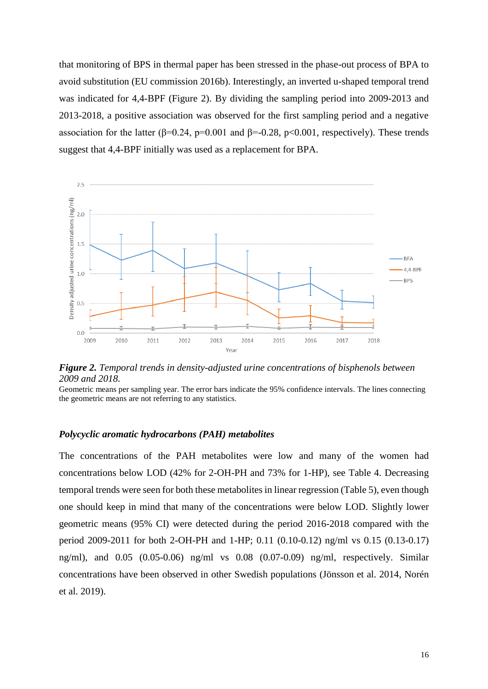that monitoring of BPS in thermal paper has been stressed in the phase-out process of BPA to avoid substitution [\(EU commission 2016b\)](#page-20-7). Interestingly, an inverted u-shaped temporal trend was indicated for 4,4-BPF [\(Figure 2\)](#page-15-1). By dividing the sampling period into 2009-2013 and 2013-2018, a positive association was observed for the first sampling period and a negative association for the latter ( $\beta$ =0.24, p=0.001 and  $\beta$ =-0.28, p<0.001, respectively). These trends suggest that 4,4-BPF initially was used as a replacement for BPA.



<span id="page-15-1"></span>*Figure 2. Temporal trends in density-adjusted urine concentrations of bisphenols between 2009 and 2018.*

Geometric means per sampling year. The error bars indicate the 95% confidence intervals. The lines connecting the geometric means are not referring to any statistics.

#### <span id="page-15-0"></span>*Polycyclic aromatic hydrocarbons (PAH) metabolites*

The concentrations of the PAH metabolites were low and many of the women had concentrations below LOD (42% for 2-OH-PH and 73% for 1-HP), see [Table 4.](#page-10-0) Decreasing temporal trends were seen for both these metabolites in linear regression [\(Table 5\)](#page-11-0), even though one should keep in mind that many of the concentrations were below LOD. Slightly lower geometric means (95% CI) were detected during the period 2016-2018 compared with the period 2009-2011 for both 2-OH-PH and 1-HP; 0.11 (0.10-0.12) ng/ml vs 0.15 (0.13-0.17) ng/ml), and 0.05 (0.05-0.06) ng/ml vs 0.08 (0.07-0.09) ng/ml, respectively. Similar concentrations have been observed in other Swedish populations [\(Jönsson et al. 2014,](#page-21-2) [Norén](#page-22-6)  [et al. 2019\)](#page-22-6).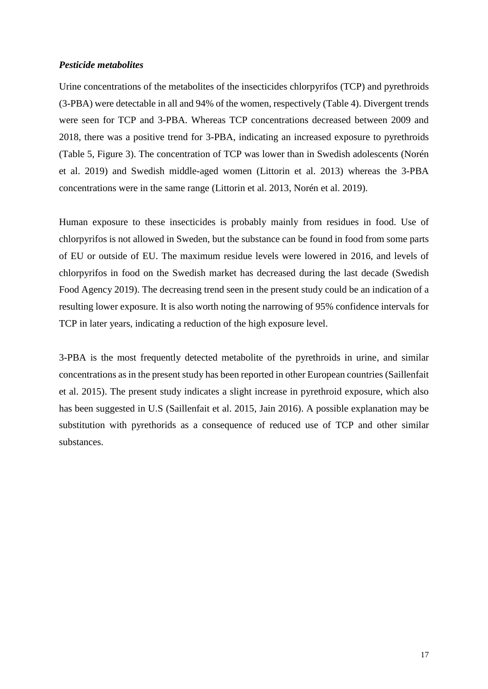#### <span id="page-16-0"></span>*Pesticide metabolites*

Urine concentrations of the metabolites of the insecticides chlorpyrifos (TCP) and pyrethroids (3-PBA) were detectable in all and 94% of the women, respectively [\(Table 4\)](#page-10-0). Divergent trends were seen for TCP and 3-PBA. Whereas TCP concentrations decreased between 2009 and 2018, there was a positive trend for 3-PBA, indicating an increased exposure to pyrethroids [\(Table 5,](#page-11-0) [Figure 3\)](#page-17-2). The concentration of TCP was lower than in Swedish adolescents [\(Norén](#page-22-6)  [et al. 2019\)](#page-22-6) and Swedish middle-aged women [\(Littorin et al. 2013\)](#page-21-7) whereas the 3-PBA concentrations were in the same range [\(Littorin et al. 2013,](#page-21-7) [Norén et al. 2019\)](#page-22-6).

Human exposure to these insecticides is probably mainly from residues in food. Use of chlorpyrifos is not allowed in Sweden, but the substance can be found in food from some parts of EU or outside of EU. The maximum residue levels were lowered in 2016, and levels of chlorpyrifos in food on the Swedish market has decreased during the last decade [\(Swedish](#page-22-10)  [Food Agency 2019\)](#page-22-10). The decreasing trend seen in the present study could be an indication of a resulting lower exposure. It is also worth noting the narrowing of 95% confidence intervals for TCP in later years, indicating a reduction of the high exposure level.

3-PBA is the most frequently detected metabolite of the pyrethroids in urine, and similar concentrations as in the present study has been reported in other European countries [\(Saillenfait](#page-22-11)  [et al. 2015\)](#page-22-11). The present study indicates a slight increase in pyrethroid exposure, which also has been suggested in U.S [\(Saillenfait et al. 2015,](#page-22-11) [Jain 2016\)](#page-21-8). A possible explanation may be substitution with pyrethorids as a consequence of reduced use of TCP and other similar substances.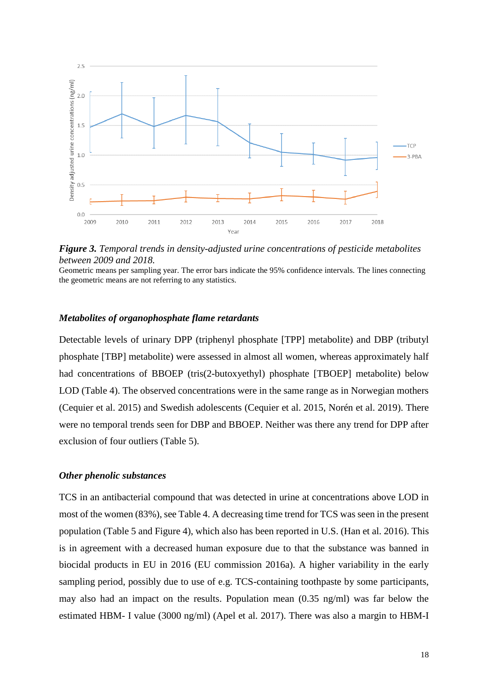

<span id="page-17-2"></span>*Figure 3. Temporal trends in density-adjusted urine concentrations of pesticide metabolites between 2009 and 2018.*

Geometric means per sampling year. The error bars indicate the 95% confidence intervals. The lines connecting the geometric means are not referring to any statistics.

#### <span id="page-17-0"></span>*Metabolites of organophosphate flame retardants*

Detectable levels of urinary DPP (triphenyl phosphate [TPP] metabolite) and DBP (tributyl phosphate [TBP] metabolite) were assessed in almost all women, whereas approximately half had concentrations of BBOEP (tris(2-butoxyethyl) phosphate [TBOEP] metabolite) below LOD [\(Table 4\)](#page-10-0). The observed concentrations were in the same range as in Norwegian mothers [\(Cequier et al. 2015\)](#page-19-7) and Swedish adolescents [\(Cequier et al. 2015,](#page-19-7) [Norén et al. 2019\)](#page-22-6). There were no temporal trends seen for DBP and BBOEP. Neither was there any trend for DPP after exclusion of four outliers [\(Table 5\)](#page-11-0).

#### <span id="page-17-1"></span>*Other phenolic substances*

TCS in an antibacterial compound that was detected in urine at concentrations above LOD in most of the women (83%), see [Table 4.](#page-10-0) A decreasing time trend for TCS was seen in the present population [\(Table 5](#page-11-0) and [Figure 4\)](#page-18-0), which also has been reported in U.S. [\(Han et al. 2016\)](#page-21-9). This is in agreement with a decreased human exposure due to that the substance was banned in biocidal products in EU in 2016 [\(EU commission 2016a\)](#page-20-3). A higher variability in the early sampling period, possibly due to use of e.g. TCS-containing toothpaste by some participants, may also had an impact on the results. Population mean (0.35 ng/ml) was far below the estimated HBM- I value (3000 ng/ml) [\(Apel et al. 2017\)](#page-19-6). There was also a margin to HBM-I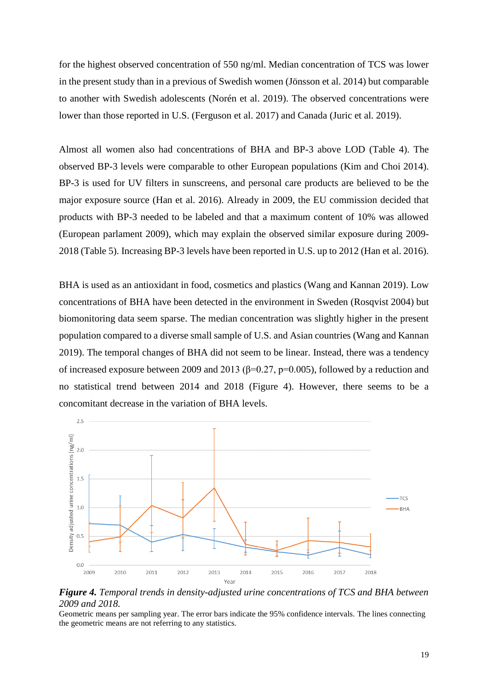for the highest observed concentration of 550 ng/ml. Median concentration of TCS was lower in the present study than in a previous of Swedish women [\(Jönsson et al. 2014\)](#page-21-2) but comparable to another with Swedish adolescents [\(Norén et al. 2019\)](#page-22-6). The observed concentrations were lower than those reported in U.S. [\(Ferguson et al. 2017\)](#page-20-8) and Canada [\(Juric et al. 2019\)](#page-21-10).

Almost all women also had concentrations of BHA and BP-3 above LOD [\(Table 4\)](#page-10-0). The observed BP-3 levels were comparable to other European populations [\(Kim and Choi 2014\)](#page-21-11). BP-3 is used for UV filters in sunscreens, and personal care products are believed to be the major exposure source [\(Han et al. 2016\)](#page-21-9). Already in 2009, the EU commission decided that products with BP-3 needed to be labeled and that a maximum content of 10% was allowed [\(European parlament 2009\)](#page-20-9), which may explain the observed similar exposure during 2009- 2018 [\(Table 5\)](#page-11-0). Increasing BP-3 levels have been reported in U.S. up to 2012 [\(Han et al. 2016\)](#page-21-9).

BHA is used as an antioxidant in food, cosmetics and plastics [\(Wang and Kannan 2019\)](#page-23-4). Low concentrations of BHA have been detected in the environment in Sweden [\(Rosqvist 2004\)](#page-22-12) but biomonitoring data seem sparse. The median concentration was slightly higher in the present population compared to a diverse small sample of U.S. and Asian countries [\(Wang and Kannan](#page-23-4)  [2019\)](#page-23-4). The temporal changes of BHA did not seem to be linear. Instead, there was a tendency of increased exposure between 2009 and 2013 ( $\beta$ =0.27, p=0.005), followed by a reduction and no statistical trend between 2014 and 2018 [\(Figure 4\)](#page-18-0). However, there seems to be a concomitant decrease in the variation of BHA levels.



<span id="page-18-0"></span>*Figure 4. Temporal trends in density-adjusted urine concentrations of TCS and BHA between 2009 and 2018.*

Geometric means per sampling year. The error bars indicate the 95% confidence intervals. The lines connecting the geometric means are not referring to any statistics.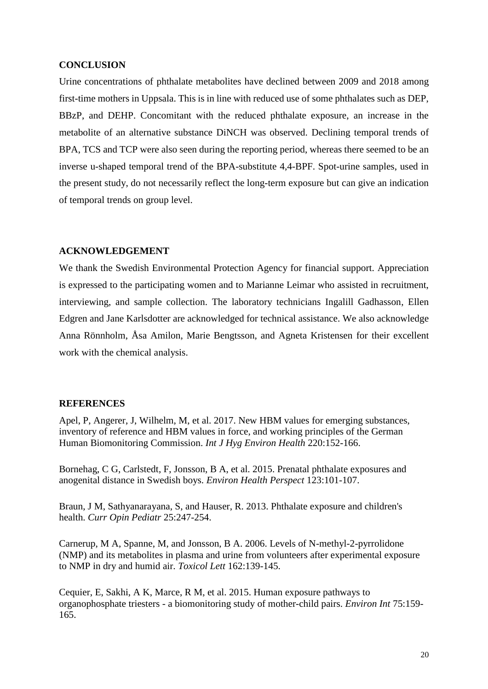#### <span id="page-19-0"></span>**CONCLUSION**

Urine concentrations of phthalate metabolites have declined between 2009 and 2018 among first-time mothers in Uppsala. This is in line with reduced use of some phthalates such as DEP, BBzP, and DEHP. Concomitant with the reduced phthalate exposure, an increase in the metabolite of an alternative substance DiNCH was observed. Declining temporal trends of BPA, TCS and TCP were also seen during the reporting period, whereas there seemed to be an inverse u-shaped temporal trend of the BPA-substitute 4,4-BPF. Spot-urine samples, used in the present study, do not necessarily reflect the long-term exposure but can give an indication of temporal trends on group level.

#### <span id="page-19-1"></span>**ACKNOWLEDGEMENT**

We thank the Swedish Environmental Protection Agency for financial support. Appreciation is expressed to the participating women and to Marianne Leimar who assisted in recruitment, interviewing, and sample collection. The laboratory technicians Ingalill Gadhasson, Ellen Edgren and Jane Karlsdotter are acknowledged for technical assistance. We also acknowledge Anna Rönnholm, Åsa Amilon, Marie Bengtsson, and Agneta Kristensen for their excellent work with the chemical analysis.

#### <span id="page-19-2"></span>**REFERENCES**

<span id="page-19-6"></span>Apel, P, Angerer, J, Wilhelm, M, et al. 2017. New HBM values for emerging substances, inventory of reference and HBM values in force, and working principles of the German Human Biomonitoring Commission. *Int J Hyg Environ Health* 220:152-166.

<span id="page-19-4"></span>Bornehag, C G, Carlstedt, F, Jonsson, B A, et al. 2015. Prenatal phthalate exposures and anogenital distance in Swedish boys. *Environ Health Perspect* 123:101-107.

<span id="page-19-3"></span>Braun, J M, Sathyanarayana, S, and Hauser, R. 2013. Phthalate exposure and children's health. *Curr Opin Pediatr* 25:247-254.

<span id="page-19-5"></span>Carnerup, M A, Spanne, M, and Jonsson, B A. 2006. Levels of N-methyl-2-pyrrolidone (NMP) and its metabolites in plasma and urine from volunteers after experimental exposure to NMP in dry and humid air. *Toxicol Lett* 162:139-145.

<span id="page-19-7"></span>Cequier, E, Sakhi, A K, Marce, R M, et al. 2015. Human exposure pathways to organophosphate triesters - a biomonitoring study of mother-child pairs. *Environ Int* 75:159- 165.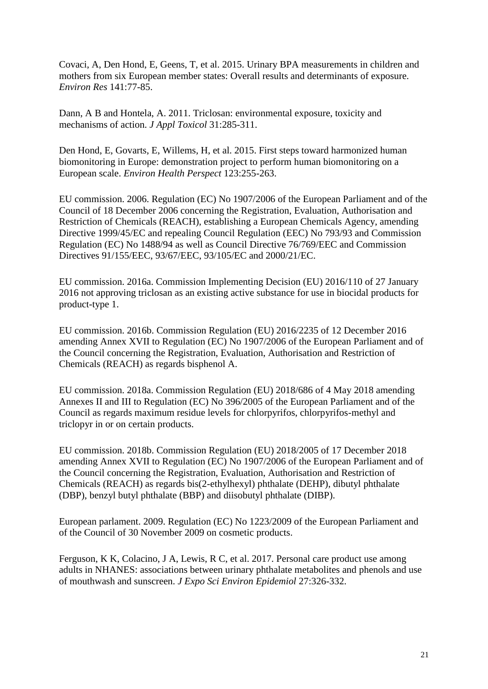<span id="page-20-6"></span>Covaci, A, Den Hond, E, Geens, T, et al. 2015. Urinary BPA measurements in children and mothers from six European member states: Overall results and determinants of exposure. *Environ Res* 141:77-85.

<span id="page-20-0"></span>Dann, A B and Hontela, A. 2011. Triclosan: environmental exposure, toxicity and mechanisms of action. *J Appl Toxicol* 31:285-311.

<span id="page-20-5"></span>Den Hond, E, Govarts, E, Willems, H, et al. 2015. First steps toward harmonized human biomonitoring in Europe: demonstration project to perform human biomonitoring on a European scale. *Environ Health Perspect* 123:255-263.

<span id="page-20-1"></span>EU commission. 2006. Regulation (EC) No 1907/2006 of the European Parliament and of the Council of 18 December 2006 concerning the Registration, Evaluation, Authorisation and Restriction of Chemicals (REACH), establishing a European Chemicals Agency, amending Directive 1999/45/EC and repealing Council Regulation (EEC) No 793/93 and Commission Regulation (EC) No 1488/94 as well as Council Directive 76/769/EEC and Commission Directives 91/155/EEC, 93/67/EEC, 93/105/EC and 2000/21/EC.

<span id="page-20-3"></span>EU commission. 2016a. Commission Implementing Decision (EU) 2016/110 of 27 January 2016 not approving triclosan as an existing active substance for use in biocidal products for product-type 1.

<span id="page-20-7"></span>EU commission. 2016b. Commission Regulation (EU) 2016/2235 of 12 December 2016 amending Annex XVII to Regulation (EC) No 1907/2006 of the European Parliament and of the Council concerning the Registration, Evaluation, Authorisation and Restriction of Chemicals (REACH) as regards bisphenol A.

<span id="page-20-4"></span>EU commission. 2018a. Commission Regulation (EU) 2018/686 of 4 May 2018 amending Annexes II and III to Regulation (EC) No 396/2005 of the European Parliament and of the Council as regards maximum residue levels for chlorpyrifos, chlorpyrifos-methyl and triclopyr in or on certain products.

<span id="page-20-2"></span>EU commission. 2018b. Commission Regulation (EU) 2018/2005 of 17 December 2018 amending Annex XVII to Regulation (EC) No 1907/2006 of the European Parliament and of the Council concerning the Registration, Evaluation, Authorisation and Restriction of Chemicals (REACH) as regards bis(2-ethylhexyl) phthalate (DEHP), dibutyl phthalate (DBP), benzyl butyl phthalate (BBP) and diisobutyl phthalate (DIBP).

<span id="page-20-9"></span>European parlament. 2009. Regulation (EC) No 1223/2009 of the European Parliament and of the Council of 30 November 2009 on cosmetic products.

<span id="page-20-8"></span>Ferguson, K K, Colacino, J A, Lewis, R C, et al. 2017. Personal care product use among adults in NHANES: associations between urinary phthalate metabolites and phenols and use of mouthwash and sunscreen. *J Expo Sci Environ Epidemiol* 27:326-332.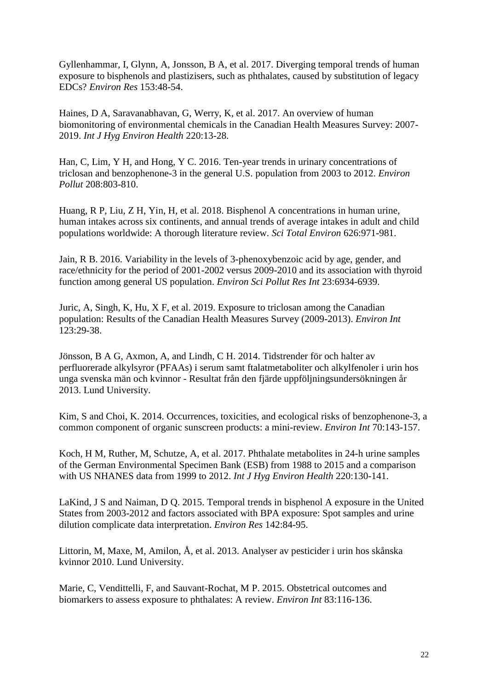<span id="page-21-1"></span>Gyllenhammar, I, Glynn, A, Jonsson, B A, et al. 2017. Diverging temporal trends of human exposure to bisphenols and plastizisers, such as phthalates, caused by substitution of legacy EDCs? *Environ Res* 153:48-54.

<span id="page-21-6"></span>Haines, D A, Saravanabhavan, G, Werry, K, et al. 2017. An overview of human biomonitoring of environmental chemicals in the Canadian Health Measures Survey: 2007- 2019. *Int J Hyg Environ Health* 220:13-28.

<span id="page-21-9"></span>Han, C, Lim, Y H, and Hong, Y C. 2016. Ten-year trends in urinary concentrations of triclosan and benzophenone-3 in the general U.S. population from 2003 to 2012. *Environ Pollut* 208:803-810.

<span id="page-21-5"></span>Huang, R P, Liu, Z H, Yin, H, et al. 2018. Bisphenol A concentrations in human urine, human intakes across six continents, and annual trends of average intakes in adult and child populations worldwide: A thorough literature review. *Sci Total Environ* 626:971-981.

<span id="page-21-8"></span>Jain, R B. 2016. Variability in the levels of 3-phenoxybenzoic acid by age, gender, and race/ethnicity for the period of 2001-2002 versus 2009-2010 and its association with thyroid function among general US population. *Environ Sci Pollut Res Int* 23:6934-6939.

<span id="page-21-10"></span>Juric, A, Singh, K, Hu, X F, et al. 2019. Exposure to triclosan among the Canadian population: Results of the Canadian Health Measures Survey (2009-2013). *Environ Int* 123:29-38.

<span id="page-21-2"></span>Jönsson, B A G, Axmon, A, and Lindh, C H. 2014. Tidstrender för och halter av perfluorerade alkylsyror (PFAAs) i serum samt ftalatmetaboliter och alkylfenoler i urin hos unga svenska män och kvinnor - Resultat från den fjärde uppföljningsundersökningen år 2013. Lund University.

<span id="page-21-11"></span>Kim, S and Choi, K. 2014. Occurrences, toxicities, and ecological risks of benzophenone-3, a common component of organic sunscreen products: a mini-review. *Environ Int* 70:143-157.

<span id="page-21-3"></span>Koch, H M, Ruther, M, Schutze, A, et al. 2017. Phthalate metabolites in 24-h urine samples of the German Environmental Specimen Bank (ESB) from 1988 to 2015 and a comparison with US NHANES data from 1999 to 2012. *Int J Hyg Environ Health* 220:130-141.

<span id="page-21-4"></span>LaKind, J S and Naiman, D Q. 2015. Temporal trends in bisphenol A exposure in the United States from 2003-2012 and factors associated with BPA exposure: Spot samples and urine dilution complicate data interpretation. *Environ Res* 142:84-95.

<span id="page-21-7"></span>Littorin, M, Maxe, M, Amilon, Å, et al. 2013. Analyser av pesticider i urin hos skånska kvinnor 2010. Lund University.

<span id="page-21-0"></span>Marie, C, Vendittelli, F, and Sauvant-Rochat, M P. 2015. Obstetrical outcomes and biomarkers to assess exposure to phthalates: A review. *Environ Int* 83:116-136.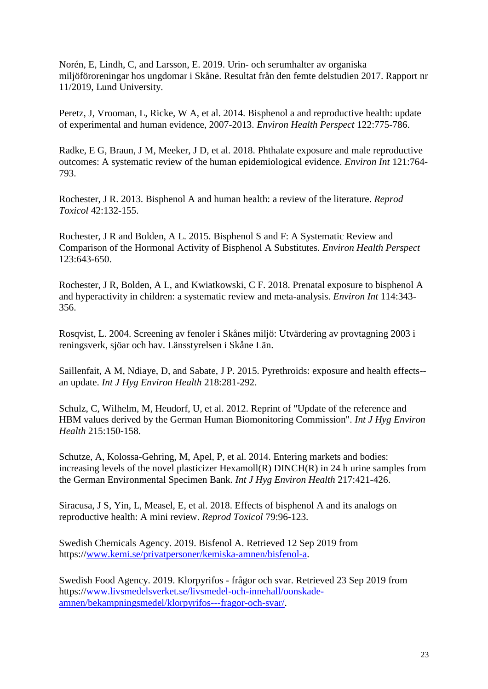<span id="page-22-6"></span>Norén, E, Lindh, C, and Larsson, E. 2019. Urin- och serumhalter av organiska miljöföroreningar hos ungdomar i Skåne. Resultat från den femte delstudien 2017. Rapport nr 11/2019, Lund University.

<span id="page-22-0"></span>Peretz, J, Vrooman, L, Ricke, W A, et al. 2014. Bisphenol a and reproductive health: update of experimental and human evidence, 2007-2013. *Environ Health Perspect* 122:775-786.

<span id="page-22-1"></span>Radke, E G, Braun, J M, Meeker, J D, et al. 2018. Phthalate exposure and male reproductive outcomes: A systematic review of the human epidemiological evidence. *Environ Int* 121:764- 793.

<span id="page-22-2"></span>Rochester, J R. 2013. Bisphenol A and human health: a review of the literature. *Reprod Toxicol* 42:132-155.

<span id="page-22-8"></span>Rochester, J R and Bolden, A L. 2015. Bisphenol S and F: A Systematic Review and Comparison of the Hormonal Activity of Bisphenol A Substitutes. *Environ Health Perspect* 123:643-650.

<span id="page-22-3"></span>Rochester, J R, Bolden, A L, and Kwiatkowski, C F. 2018. Prenatal exposure to bisphenol A and hyperactivity in children: a systematic review and meta-analysis. *Environ Int* 114:343- 356.

<span id="page-22-12"></span>Rosqvist, L. 2004. Screening av fenoler i Skånes miljö: Utvärdering av provtagning 2003 i reningsverk, sjöar och hav. Länsstyrelsen i Skåne Län.

<span id="page-22-11"></span>Saillenfait, A M, Ndiaye, D, and Sabate, J P. 2015. Pyrethroids: exposure and health effects- an update. *Int J Hyg Environ Health* 218:281-292.

<span id="page-22-7"></span>Schulz, C, Wilhelm, M, Heudorf, U, et al. 2012. Reprint of "Update of the reference and HBM values derived by the German Human Biomonitoring Commission". *Int J Hyg Environ Health* 215:150-158.

<span id="page-22-4"></span>Schutze, A, Kolossa-Gehring, M, Apel, P, et al. 2014. Entering markets and bodies: increasing levels of the novel plasticizer Hexamoll(R) DINCH(R) in 24 h urine samples from the German Environmental Specimen Bank. *Int J Hyg Environ Health* 217:421-426.

<span id="page-22-9"></span>Siracusa, J S, Yin, L, Measel, E, et al. 2018. Effects of bisphenol A and its analogs on reproductive health: A mini review. *Reprod Toxicol* 79:96-123.

<span id="page-22-5"></span>Swedish Chemicals Agency. 2019. Bisfenol A. Retrieved 12 Sep 2019 from https:/[/www.kemi.se/privatpersoner/kemiska-amnen/bisfenol-a.](http://www.kemi.se/privatpersoner/kemiska-amnen/bisfenol-a)

<span id="page-22-10"></span>Swedish Food Agency. 2019. Klorpyrifos - frågor och svar. Retrieved 23 Sep 2019 from https:/[/www.livsmedelsverket.se/livsmedel-och-innehall/oonskade](http://www.livsmedelsverket.se/livsmedel-och-innehall/oonskade-amnen/bekampningsmedel/klorpyrifos---fragor-och-svar/)[amnen/bekampningsmedel/klorpyrifos---fragor-och-svar/.](http://www.livsmedelsverket.se/livsmedel-och-innehall/oonskade-amnen/bekampningsmedel/klorpyrifos---fragor-och-svar/)